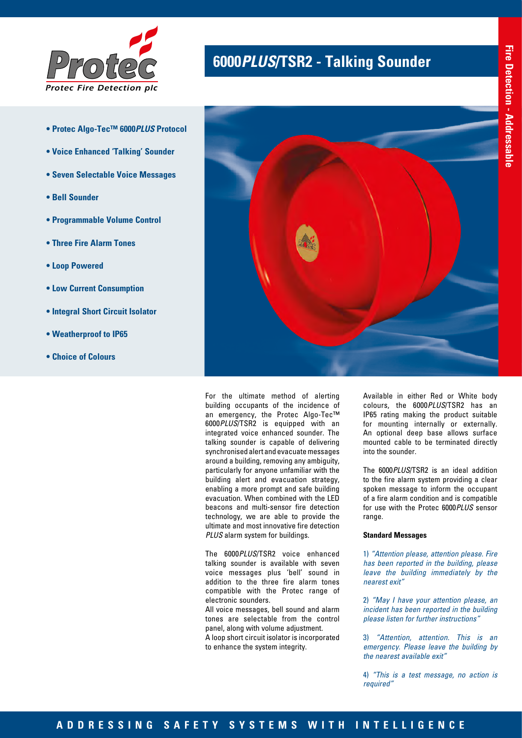

- **Protec Algo-Tec™ 6000***PLUS* **Protocol**
- **Voice Enhanced 'Talking' Sounder**
- **Seven Selectable Voice Messages**
- **Bell Sounder**
- **Programmable Volume Control**
- **Three Fire Alarm Tones**
- **Loop Powered**
- **Low Current Consumption**
- **Integral Short Circuit Isolator**
- **Weatherproof to IP65**
- **Choice of Colours**

# **<sup>6000</sup>***PLUS***/TSR2 - Talking Sounder** *Protec*



For the ultimate method of alerting building occupants of the incidence of an emergency, the Protec Algo-Tec™ 6000*PLUS*/TSR2 is equipped with an integrated voice enhanced sounder. The talking sounder is capable of delivering synchronised alert and evacuate messages around a building, removing any ambiguity, particularly for anyone unfamiliar with the building alert and evacuation strategy, enabling a more prompt and safe building evacuation. When combined with the LED beacons and multi-sensor fire detection technology, we are able to provide the ultimate and most innovative fire detection *PLUS* alarm system for buildings.

The 6000*PLUS*/TSR2 voice enhanced talking sounder is available with seven voice messages plus 'bell' sound in addition to the three fire alarm tones compatible with the Protec range of electronic sounders.

All voice messages, bell sound and alarm tones are selectable from the control panel, along with volume adjustment.

A loop short circuit isolator is incorporated to enhance the system integrity.

Available in either Red or White body colours, the 6000*PLUS*/TSR2 has an IP65 rating making the product suitable for mounting internally or externally. An optional deep base allows surface mounted cable to be terminated directly into the sounder.

The 6000*PLUS*/TSR2 is an ideal addition to the fire alarm system providing a clear spoken message to inform the occupant of a fire alarm condition and is compatible for use with the Protec 6000*PLUS* sensor range.

#### **Standard Messages**

1) *"Attention please, attention please. Fire has been reported in the building, please leave the building immediately by the nearest exit"*

2) *"May I have your attention please, an incident has been reported in the building please listen for further instructions"*

3) *"Attention, attention. This is an emergency. Please leave the building by the nearest available exit"*

4) *"This is a test message, no action is required"*